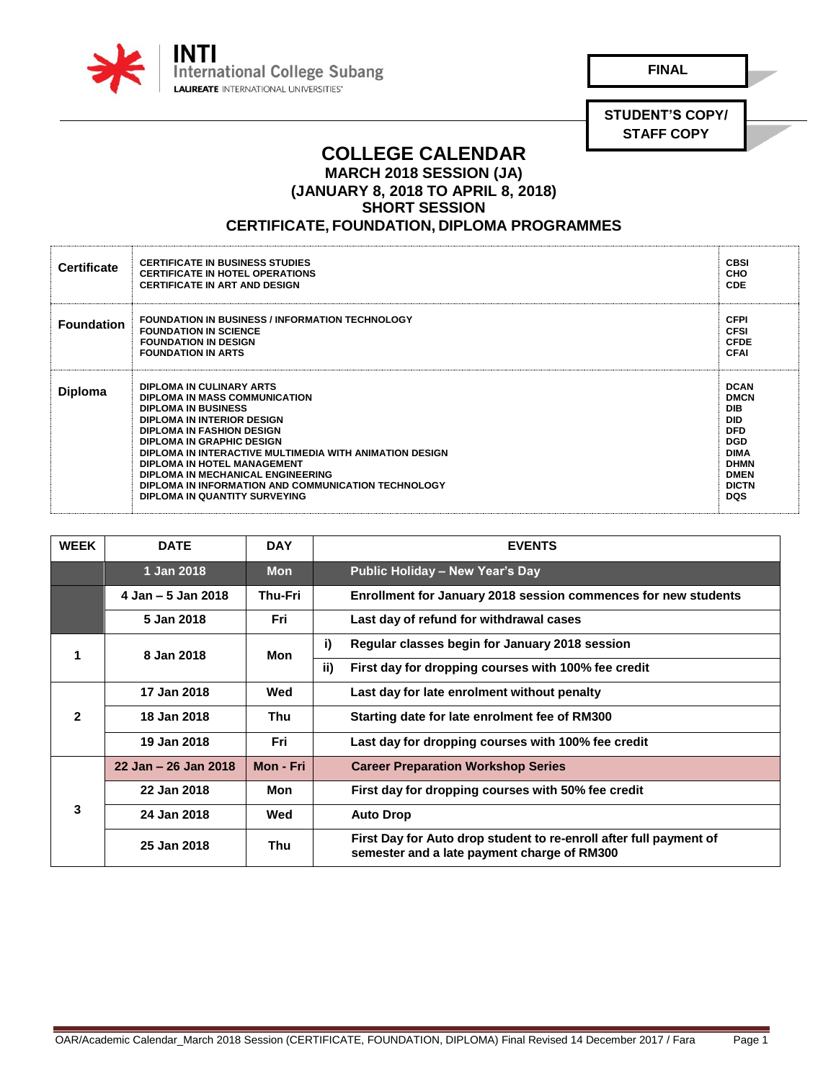

**FINAL**

**STUDENT'S COPY/ STAFF COPY**

## **COLLEGE CALENDAR MARCH 2018 SESSION (JA)**

**(JANUARY 8, 2018 TO APRIL 8, 2018)**

**SHORT SESSION** 

## **CERTIFICATE, FOUNDATION, DIPLOMA PROGRAMMES**

| <b>Certificate</b> | <b>CERTIFICATE IN BUSINESS STUDIES</b><br><b>CERTIFICATE IN HOTEL OPERATIONS</b><br><b>CERTIFICATE IN ART AND DESIGN</b>                                                                                                                                                                                                                                                                                      | <b>CBSI</b><br>CHO<br><b>CDE</b>                                                                                                                              |
|--------------------|---------------------------------------------------------------------------------------------------------------------------------------------------------------------------------------------------------------------------------------------------------------------------------------------------------------------------------------------------------------------------------------------------------------|---------------------------------------------------------------------------------------------------------------------------------------------------------------|
| <b>Foundation</b>  | <b>FOUNDATION IN BUSINESS / INFORMATION TECHNOLOGY</b><br><b>FOUNDATION IN SCIENCE</b><br><b>FOUNDATION IN DESIGN</b><br><b>FOUNDATION IN ARTS</b>                                                                                                                                                                                                                                                            | <b>CFPI</b><br><b>CFSI</b><br><b>CFDE</b><br><b>CFAI</b>                                                                                                      |
| Diploma            | DIPLOMA IN CULINARY ARTS<br>DIPLOMA IN MASS COMMUNICATION<br><b>DIPLOMA IN BUSINESS</b><br>DIPLOMA IN INTERIOR DESIGN<br><b>DIPLOMA IN FASHION DESIGN</b><br>DIPLOMA IN GRAPHIC DESIGN<br>DIPLOMA IN INTERACTIVE MULTIMEDIA WITH ANIMATION DESIGN<br>DIPLOMA IN HOTEL MANAGEMENT<br>DIPLOMA IN MECHANICAL ENGINEERING<br>DIPLOMA IN INFORMATION AND COMMUNICATION TECHNOLOGY<br>DIPLOMA IN QUANTITY SURVEYING | <b>DCAN</b><br><b>DMCN</b><br><b>DIB</b><br><b>DID</b><br><b>DFD</b><br><b>DGD</b><br><b>DIMA</b><br><b>DHMN</b><br><b>DMEN</b><br><b>DICTN</b><br><b>DQS</b> |

| <b>WEEK</b>          | <b>DATE</b>          | <b>DAY</b>     | <b>EVENTS</b>                                                                                                     |
|----------------------|----------------------|----------------|-------------------------------------------------------------------------------------------------------------------|
|                      | 1 Jan 2018           | <b>Mon</b>     | Public Holiday - New Year's Day                                                                                   |
|                      | 4 Jan – 5 Jan 2018   | <b>Thu-Fri</b> | <b>Enrollment for January 2018 session commences for new students</b>                                             |
|                      | 5 Jan 2018           | Fri            | Last day of refund for withdrawal cases                                                                           |
| $\blacktriangleleft$ | 8 Jan 2018           | Mon            | i)<br>Regular classes begin for January 2018 session                                                              |
|                      |                      |                | ii)<br>First day for dropping courses with 100% fee credit                                                        |
| $\overline{2}$       | 17 Jan 2018          | Wed            | Last day for late enrolment without penalty                                                                       |
|                      | 18 Jan 2018          | Thu            | Starting date for late enrolment fee of RM300                                                                     |
|                      | 19 Jan 2018          | Fri            | Last day for dropping courses with 100% fee credit                                                                |
| 3                    | 22 Jan - 26 Jan 2018 | Mon - Fri      | <b>Career Preparation Workshop Series</b>                                                                         |
|                      | 22 Jan 2018          | Mon            | First day for dropping courses with 50% fee credit                                                                |
|                      | 24 Jan 2018          | Wed            | <b>Auto Drop</b>                                                                                                  |
|                      | 25 Jan 2018          | Thu            | First Day for Auto drop student to re-enroll after full payment of<br>semester and a late payment charge of RM300 |